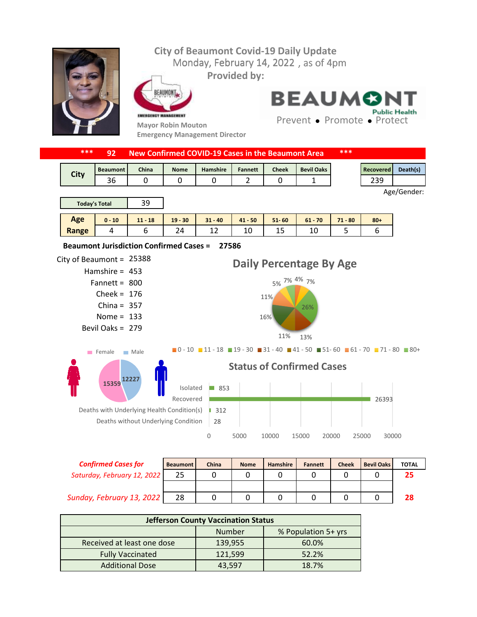## **City of Beaumont Covid-19 Daily Update** Monday, February 14, 2022, as of 4pm **Provided by:** EAUMONT **BEAUMO Public Health** EMERGENCY MANAGEMENT Prevent • Promote • Protect **Mayor Robin Mouton Emergency Management Director \*\*\* 92 New Confirmed COVID-19 Cases in the Beaumont Area \*\*\***



| Age   | $0 - 10$ | 18<br>. . | $19 - 30$       | $31 - 40$ | $41 - 50$ | $51 - 60$ | 70<br>61 | $71 -$<br>$-80$ | $80 +$ |
|-------|----------|-----------|-----------------|-----------|-----------|-----------|----------|-----------------|--------|
| Range |          |           | $2\Lambda$<br>ᅩ | ∸∸        | ⊥∪        | --        | ⊥∪       |                 |        |

## **27586 Beaumont Jurisdiction Confirmed Cases =**



| <b>Confirmed Cases for</b>  | <b>Beaumont</b> | China | <b>Nome</b> | <b>Hamshire</b> | <b>Fannett</b> | <b>Cheek</b> | <b>Bevil Oaks</b> | <b>TOTAL</b> |
|-----------------------------|-----------------|-------|-------------|-----------------|----------------|--------------|-------------------|--------------|
| Saturday, February 12, 2022 | 25              |       |             |                 |                |              |                   | 25           |
|                             |                 |       |             |                 |                |              |                   |              |
| Sunday, February 13, 2022   | 28              |       |             |                 |                |              |                   | 28           |

| <b>Jefferson County Vaccination Status</b> |         |                     |  |  |  |  |
|--------------------------------------------|---------|---------------------|--|--|--|--|
|                                            | Number  | % Population 5+ yrs |  |  |  |  |
| Received at least one dose                 | 139,955 | 60.0%               |  |  |  |  |
| <b>Fully Vaccinated</b>                    | 121,599 | 52.2%               |  |  |  |  |
| <b>Additional Dose</b>                     | 43,597  | 18.7%               |  |  |  |  |